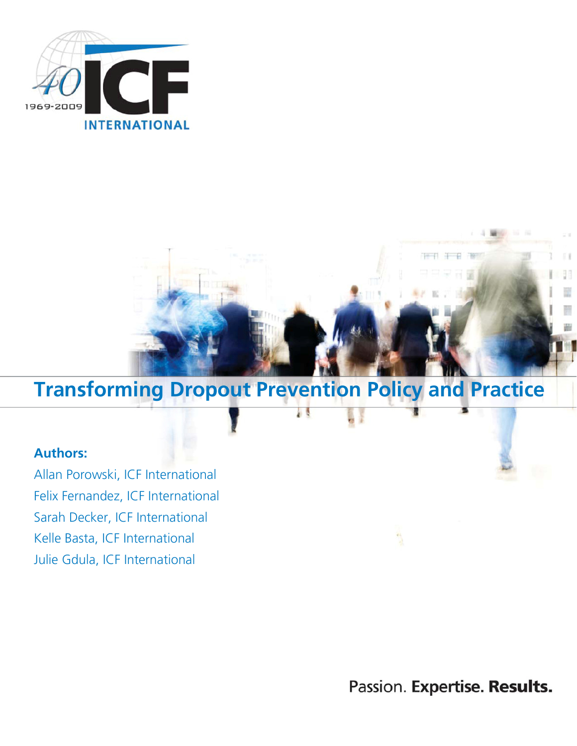



# Transforming Dropout Prevention Policy and Practice

4B

## Authors:

Allan Porowski, ICF International Felix Fernandez, ICF International Sarah Decker, ICF International Kelle Basta, ICF International Julie Gdula, ICF International

Passion. Expertise. Results.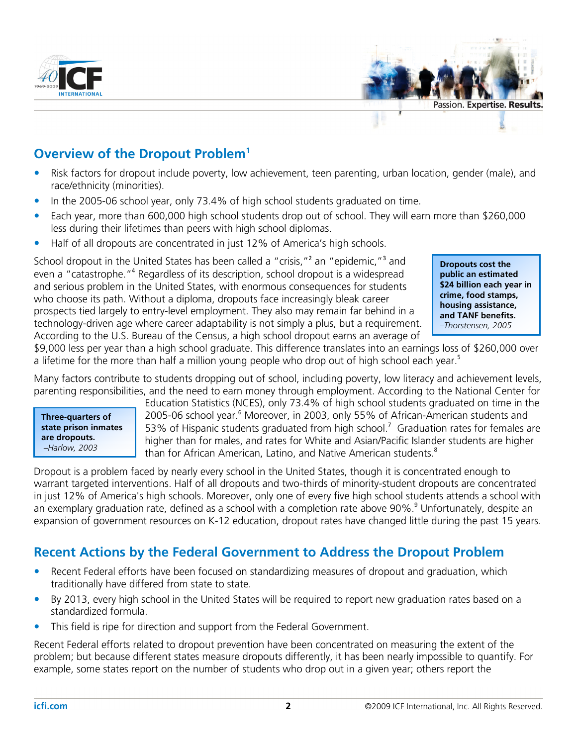



# Overview of the Dropout Problem<sup>1</sup>

- Risk factors for dropout include poverty, low achievement, teen parenting, urban location, gender (male), and race/ethnicity (minorities).
- In the 2005-06 school year, only 73.4% of high school students graduated on time.
- Each year, more than 600,000 high school students drop out of school. They will earn more than \$260,000 less during their lifetimes than peers with high school diplomas.
- Half of all dropouts are concentrated in just 12% of America's high schools.

School dropout in the United States has been called a "crisis,"<sup>2</sup> an "epidemic,"<sup>3</sup> and even a "catastrophe."<sup>4</sup> Regardless of its description, school dropout is a widespread and serious problem in the United States, with enormous consequences for students who choose its path. Without a diploma, dropouts face increasingly bleak career prospects tied largely to entry-level employment. They also may remain far behind in a technology-driven age where career adaptability is not simply a plus, but a requirement. According to the U.S. Bureau of the Census, a high school dropout earns an average of

Dropouts cost the public an estimated \$24 billion each year in crime, food stamps, housing assistance, and TANF benefits. –Thorstensen, 2005

\$9,000 less per year than a high school graduate. This difference translates into an earnings loss of \$260,000 over a lifetime for the more than half a million young people who drop out of high school each year.<sup>5</sup>

Many factors contribute to students dropping out of school, including poverty, low literacy and achievement levels, parenting responsibilities, and the need to earn money through employment. According to the National Center for



Education Statistics (NCES), only 73.4% of high school students graduated on time in the 2005-06 school year.<sup>6</sup> Moreover, in 2003, only 55% of African-American students and 53% of Hispanic students graduated from high school.<sup>7</sup> Graduation rates for females are higher than for males, and rates for White and Asian/Pacific Islander students are higher than for African American, Latino, and Native American students.<sup>8</sup>

Dropout is a problem faced by nearly every school in the United States, though it is concentrated enough to warrant targeted interventions. Half of all dropouts and two-thirds of minority-student dropouts are concentrated in just 12% of America's high schools. Moreover, only one of every five high school students attends a school with an exemplary graduation rate, defined as a school with a completion rate above 90%.<sup>9</sup> Unfortunately, despite an expansion of government resources on K-12 education, dropout rates have changed little during the past 15 years.

## Recent Actions by the Federal Government to Address the Dropout Problem

- Recent Federal efforts have been focused on standardizing measures of dropout and graduation, which traditionally have differed from state to state.
- By 2013, every high school in the United States will be required to report new graduation rates based on a standardized formula.
- This field is ripe for direction and support from the Federal Government.

Recent Federal efforts related to dropout prevention have been concentrated on measuring the extent of the problem; but because different states measure dropouts differently, it has been nearly impossible to quantify. For example, some states report on the number of students who drop out in a given year; others report the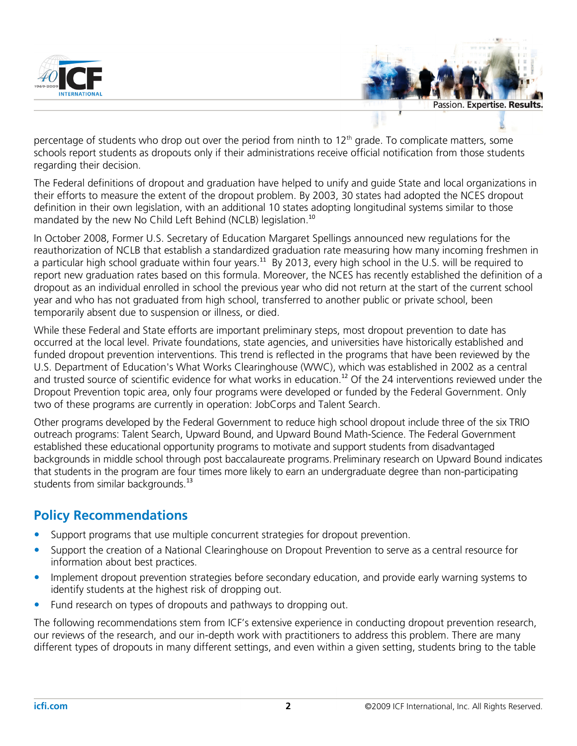



percentage of students who drop out over the period from ninth to  $12<sup>th</sup>$  grade. To complicate matters, some schools report students as dropouts only if their administrations receive official notification from those students regarding their decision.

The Federal definitions of dropout and graduation have helped to unify and guide State and local organizations in their efforts to measure the extent of the dropout problem. By 2003, 30 states had adopted the NCES dropout definition in their own legislation, with an additional 10 states adopting longitudinal systems similar to those mandated by the new No Child Left Behind (NCLB) legislation.<sup>10</sup>

In October 2008, Former U.S. Secretary of Education Margaret Spellings announced new regulations for the reauthorization of NCLB that establish a standardized graduation rate measuring how many incoming freshmen in a particular high school graduate within four years.<sup>11</sup> By 2013, every high school in the U.S. will be required to report new graduation rates based on this formula. Moreover, the NCES has recently established the definition of a dropout as an individual enrolled in school the previous year who did not return at the start of the current school year and who has not graduated from high school, transferred to another public or private school, been temporarily absent due to suspension or illness, or died.

While these Federal and State efforts are important preliminary steps, most dropout prevention to date has occurred at the local level. Private foundations, state agencies, and universities have historically established and funded dropout prevention interventions. This trend is reflected in the programs that have been reviewed by the U.S. Department of Education's What Works Clearinghouse (WWC), which was established in 2002 as a central and trusted source of scientific evidence for what works in education.<sup>12</sup> Of the 24 interventions reviewed under the Dropout Prevention topic area, only four programs were developed or funded by the Federal Government. Only two of these programs are currently in operation: JobCorps and Talent Search.

Other programs developed by the Federal Government to reduce high school dropout include three of the six TRIO outreach programs: Talent Search, Upward Bound, and Upward Bound Math-Science. The Federal Government established these educational opportunity programs to motivate and support students from disadvantaged backgrounds in middle school through post baccalaureate programs.Preliminary research on Upward Bound indicates that students in the program are four times more likely to earn an undergraduate degree than non-participating students from similar backgrounds.<sup>13</sup>

## Policy Recommendations

- Support programs that use multiple concurrent strategies for dropout prevention.
- Support the creation of a National Clearinghouse on Dropout Prevention to serve as a central resource for information about best practices.
- Implement dropout prevention strategies before secondary education, and provide early warning systems to identify students at the highest risk of dropping out.
- Fund research on types of dropouts and pathways to dropping out.

The following recommendations stem from ICF's extensive experience in conducting dropout prevention research, our reviews of the research, and our in-depth work with practitioners to address this problem. There are many different types of dropouts in many different settings, and even within a given setting, students bring to the table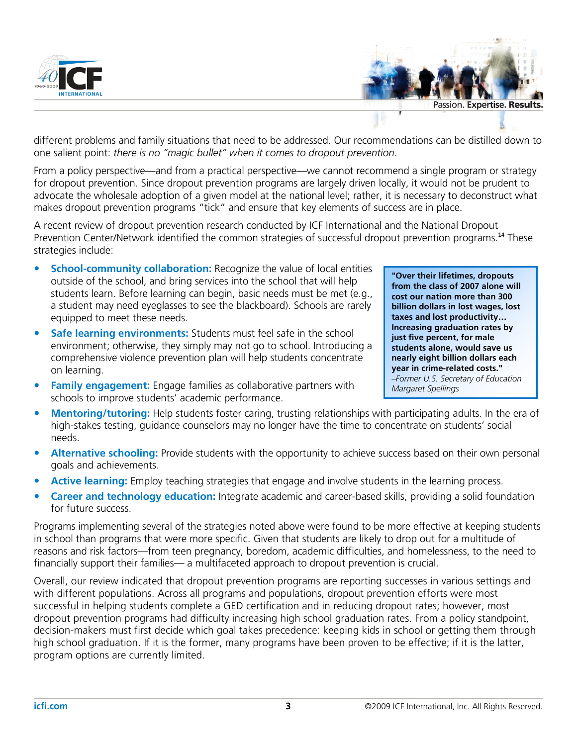



different problems and family situations that need to be addressed. Our recommendations can be distilled down to one salient point: there is no "magic bullet" when it comes to dropout prevention.

From a policy perspective—and from a practical perspective—we cannot recommend a single program or strategy for dropout prevention. Since dropout prevention programs are largely driven locally, it would not be prudent to advocate the wholesale adoption of a given model at the national level; rather, it is necessary to deconstruct what makes dropout prevention programs "tick" and ensure that key elements of success are in place.

A recent review of dropout prevention research conducted by ICF International and the National Dropout Prevention Center/Network identified the common strategies of successful dropout prevention programs.<sup>14</sup> These strategies include:

- School-community collaboration: Recognize the value of local entities outside of the school, and bring services into the school that will help students learn. Before learning can begin, basic needs must be met (e.g., a student may need eyeglasses to see the blackboard). Schools are rarely equipped to meet these needs.
- Safe learning environments: Students must feel safe in the school environment; otherwise, they simply may not go to school. Introducing a comprehensive violence prevention plan will help students concentrate on learning.
- Family engagement: Engage families as collaborative partners with schools to improve students' academic performance.

"Over their lifetimes, dropouts from the class of 2007 alone will cost our nation more than 300 billion dollars in lost wages, lost taxes and lost productivity… Increasing graduation rates by just five percent, for male students alone, would save us nearly eight billion dollars each year in crime-related costs." –Former U.S. Secretary of Education Margaret Spellings

- Mentoring/tutoring: Help students foster caring, trusting relationships with participating adults. In the era of high-stakes testing, guidance counselors may no longer have the time to concentrate on students' social needs.
- Alternative schooling: Provide students with the opportunity to achieve success based on their own personal goals and achievements.
- Active learning: Employ teaching strategies that engage and involve students in the learning process.
- Career and technology education: Integrate academic and career-based skills, providing a solid foundation for future success.

Programs implementing several of the strategies noted above were found to be more effective at keeping students in school than programs that were more specific. Given that students are likely to drop out for a multitude of reasons and risk factors—from teen pregnancy, boredom, academic difficulties, and homelessness, to the need to financially support their families— a multifaceted approach to dropout prevention is crucial.

Overall, our review indicated that dropout prevention programs are reporting successes in various settings and with different populations. Across all programs and populations, dropout prevention efforts were most successful in helping students complete a GED certification and in reducing dropout rates; however, most dropout prevention programs had difficulty increasing high school graduation rates. From a policy standpoint, decision-makers must first decide which goal takes precedence: keeping kids in school or getting them through high school graduation. If it is the former, many programs have been proven to be effective; if it is the latter, program options are currently limited.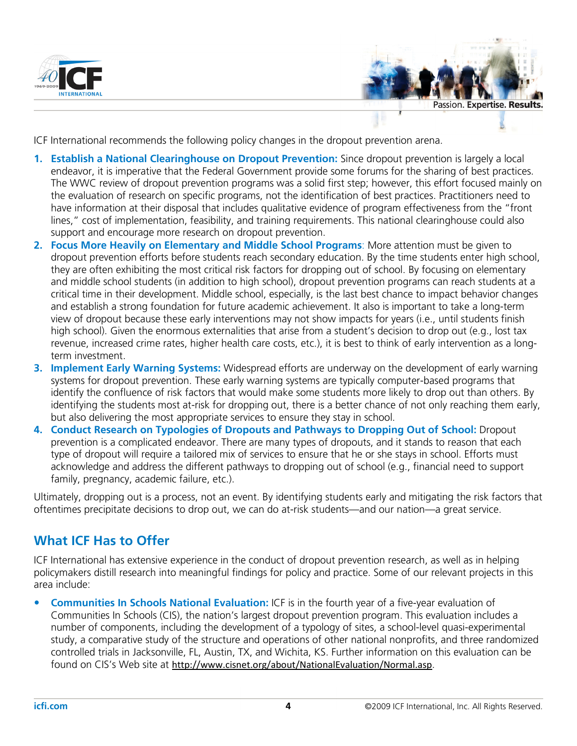



ICF International recommends the following policy changes in the dropout prevention arena.

- 1. Establish a National Clearinghouse on Dropout Prevention: Since dropout prevention is largely a local endeavor, it is imperative that the Federal Government provide some forums for the sharing of best practices. The WWC review of dropout prevention programs was a solid first step; however, this effort focused mainly on the evaluation of research on specific programs, not the identification of best practices. Practitioners need to have information at their disposal that includes qualitative evidence of program effectiveness from the "front lines," cost of implementation, feasibility, and training requirements. This national clearinghouse could also support and encourage more research on dropout prevention.
- 2. Focus More Heavily on Elementary and Middle School Programs: More attention must be given to dropout prevention efforts before students reach secondary education. By the time students enter high school, they are often exhibiting the most critical risk factors for dropping out of school. By focusing on elementary and middle school students (in addition to high school), dropout prevention programs can reach students at a critical time in their development. Middle school, especially, is the last best chance to impact behavior changes and establish a strong foundation for future academic achievement. It also is important to take a long-term view of dropout because these early interventions may not show impacts for years (i.e., until students finish high school). Given the enormous externalities that arise from a student's decision to drop out (e.g., lost tax revenue, increased crime rates, higher health care costs, etc.), it is best to think of early intervention as a longterm investment.
- 3. Implement Early Warning Systems: Widespread efforts are underway on the development of early warning systems for dropout prevention. These early warning systems are typically computer-based programs that identify the confluence of risk factors that would make some students more likely to drop out than others. By identifying the students most at-risk for dropping out, there is a better chance of not only reaching them early, but also delivering the most appropriate services to ensure they stay in school.
- 4. Conduct Research on Typologies of Dropouts and Pathways to Dropping Out of School: Dropout prevention is a complicated endeavor. There are many types of dropouts, and it stands to reason that each type of dropout will require a tailored mix of services to ensure that he or she stays in school. Efforts must acknowledge and address the different pathways to dropping out of school (e.g., financial need to support family, pregnancy, academic failure, etc.).

Ultimately, dropping out is a process, not an event. By identifying students early and mitigating the risk factors that oftentimes precipitate decisions to drop out, we can do at-risk students—and our nation—a great service.

## What ICF Has to Offer

ICF International has extensive experience in the conduct of dropout prevention research, as well as in helping policymakers distill research into meaningful findings for policy and practice. Some of our relevant projects in this area include:

• Communities In Schools National Evaluation: ICF is in the fourth year of a five-year evaluation of Communities In Schools (CIS), the nation's largest dropout prevention program. This evaluation includes a number of components, including the development of a typology of sites, a school-level quasi-experimental study, a comparative study of the structure and operations of other national nonprofits, and three randomized controlled trials in Jacksonville, FL, Austin, TX, and Wichita, KS. Further information on this evaluation can be found on CIS's Web site at http://www.cisnet.org/about/NationalEvaluation/Normal.asp.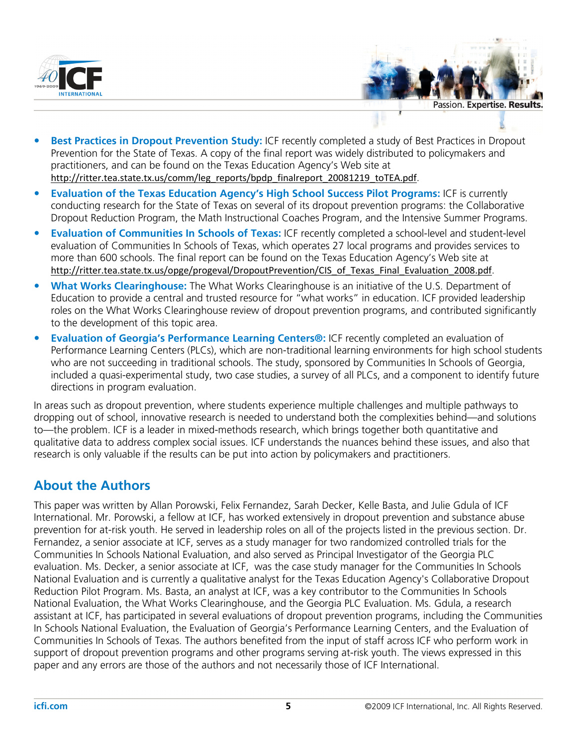



- Best Practices in Dropout Prevention Study: ICF recently completed a study of Best Practices in Dropout Prevention for the State of Texas. A copy of the final report was widely distributed to policymakers and practitioners, and can be found on the Texas Education Agency's Web site at http://ritter.tea.state.tx.us/comm/leg\_reports/bpdp\_finalreport\_20081219\_toTEA.pdf.
- Evaluation of the Texas Education Agency's High School Success Pilot Programs: ICF is currently conducting research for the State of Texas on several of its dropout prevention programs: the Collaborative Dropout Reduction Program, the Math Instructional Coaches Program, and the Intensive Summer Programs.
- Evaluation of Communities In Schools of Texas: ICF recently completed a school-level and student-level evaluation of Communities In Schools of Texas, which operates 27 local programs and provides services to more than 600 schools. The final report can be found on the Texas Education Agency's Web site at http://ritter.tea.state.tx.us/opge/progeval/DropoutPrevention/CIS of Texas Final Evaluation 2008.pdf.
- What Works Clearinghouse: The What Works Clearinghouse is an initiative of the U.S. Department of Education to provide a central and trusted resource for "what works" in education. ICF provided leadership roles on the What Works Clearinghouse review of dropout prevention programs, and contributed significantly to the development of this topic area.
- Evaluation of Georgia's Performance Learning Centers®: ICF recently completed an evaluation of Performance Learning Centers (PLCs), which are non-traditional learning environments for high school students who are not succeeding in traditional schools. The study, sponsored by Communities In Schools of Georgia, included a quasi-experimental study, two case studies, a survey of all PLCs, and a component to identify future directions in program evaluation.

In areas such as dropout prevention, where students experience multiple challenges and multiple pathways to dropping out of school, innovative research is needed to understand both the complexities behind—and solutions to—the problem. ICF is a leader in mixed-methods research, which brings together both quantitative and qualitative data to address complex social issues. ICF understands the nuances behind these issues, and also that research is only valuable if the results can be put into action by policymakers and practitioners.

## About the Authors

This paper was written by Allan Porowski, Felix Fernandez, Sarah Decker, Kelle Basta, and Julie Gdula of ICF International. Mr. Porowski, a fellow at ICF, has worked extensively in dropout prevention and substance abuse prevention for at-risk youth. He served in leadership roles on all of the projects listed in the previous section. Dr. Fernandez, a senior associate at ICF, serves as a study manager for two randomized controlled trials for the Communities In Schools National Evaluation, and also served as Principal Investigator of the Georgia PLC evaluation. Ms. Decker, a senior associate at ICF, was the case study manager for the Communities In Schools National Evaluation and is currently a qualitative analyst for the Texas Education Agency's Collaborative Dropout Reduction Pilot Program. Ms. Basta, an analyst at ICF, was a key contributor to the Communities In Schools National Evaluation, the What Works Clearinghouse, and the Georgia PLC Evaluation. Ms. Gdula, a research assistant at ICF, has participated in several evaluations of dropout prevention programs, including the Communities In Schools National Evaluation, the Evaluation of Georgia's Performance Learning Centers, and the Evaluation of Communities In Schools of Texas. The authors benefited from the input of staff across ICF who perform work in support of dropout prevention programs and other programs serving at-risk youth. The views expressed in this paper and any errors are those of the authors and not necessarily those of ICF International.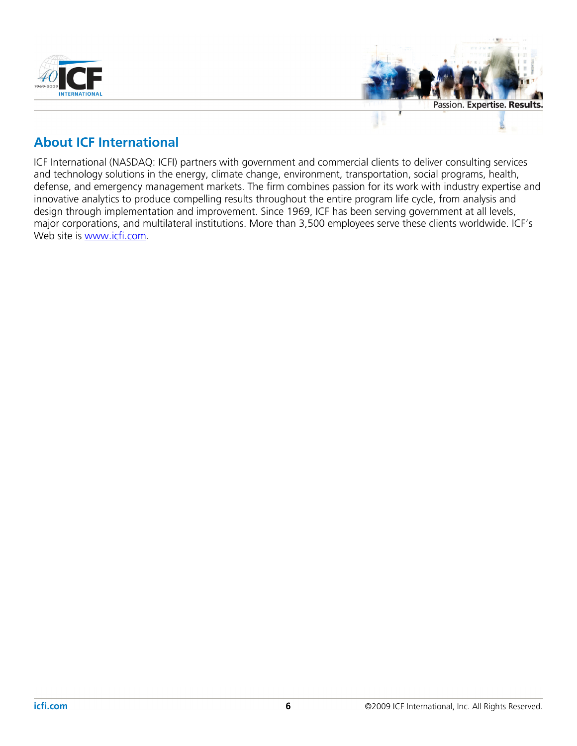

#### About ICF International

ICF International (NASDAQ: ICFI) partners with government and commercial clients to deliver consulting services and technology solutions in the energy, climate change, environment, transportation, social programs, health, defense, and emergency management markets. The firm combines passion for its work with industry expertise and innovative analytics to produce compelling results throughout the entire program life cycle, from analysis and design through implementation and improvement. Since 1969, ICF has been serving government at all levels, major corporations, and multilateral institutions. More than 3,500 employees serve these clients worldwide. ICF's Web site is www.icfi.com.